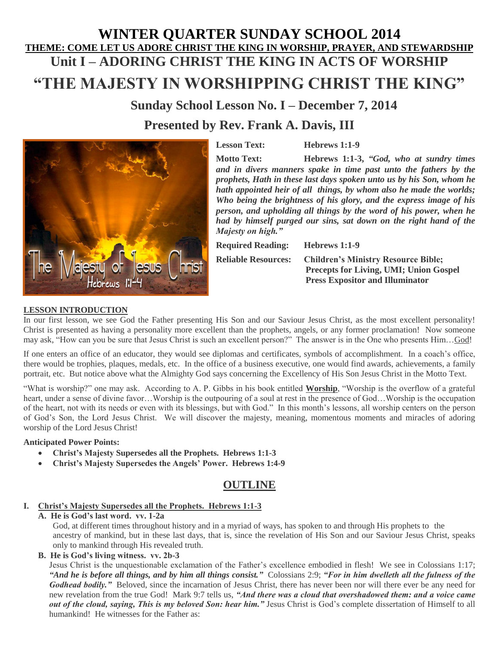# **WINTER QUARTER SUNDAY SCHOOL 2014 THEME: COME LET US ADORE CHRIST THE KING IN WORSHIP, PRAYER, AND STEWARDSHIP Unit I – ADORING CHRIST THE KING IN ACTS OF WORSHIP**

## **"THE MAJESTY IN WORSHIPPING CHRIST THE KING"**

**Sunday School Lesson No. I – December 7, 2014 Presented by Rev. Frank A. Davis, III**



**Lesson Text: Hebrews 1:1-9**

**Motto Text: Hebrews 1:1-3,** *"God, who at sundry times and in divers manners spake in time past unto the fathers by the prophets, Hath in these last days spoken unto us by his Son, whom he hath appointed heir of all things, by whom also he made the worlds; Who being the brightness of his glory, and the express image of his person, and upholding all things by the word of his power, when he had by himself purged our sins, sat down on the right hand of the Majesty on high."*

**Required Reading: Hebrews 1:1-9**

**Reliable Resources: Children's Ministry Resource Bible; Precepts for Living, UMI; Union Gospel Press Expositor and Illuminator** 

#### **LESSON INTRODUCTION**

In our first lesson, we see God the Father presenting His Son and our Saviour Jesus Christ, as the most excellent personality! Christ is presented as having a personality more excellent than the prophets, angels, or any former proclamation! Now someone may ask, "How can you be sure that Jesus Christ is such an excellent person?" The answer is in the One who presents Him... God!

If one enters an office of an educator, they would see diplomas and certificates, symbols of accomplishment. In a coach's office, there would be trophies, plaques, medals, etc. In the office of a business executive, one would find awards, achievements, a family portrait, etc. But notice above what the Almighty God says concerning the Excellency of His Son Jesus Christ in the Motto Text.

"What is worship?" one may ask. According to A. P. Gibbs in his book entitled **Worship**, "Worship is the overflow of a grateful heart, under a sense of divine favor...Worship is the outpouring of a soul at rest in the presence of God...Worship is the occupation of the heart, not with its needs or even with its blessings, but with God." In this month's lessons, all worship centers on the person of God's Son, the Lord Jesus Christ. We will discover the majesty, meaning, momentous moments and miracles of adoring worship of the Lord Jesus Christ!

#### **Anticipated Power Points:**

- **Christ's Majesty Supersedes all the Prophets. Hebrews 1:1-3**
- **Christ's Majesty Supersedes the Angels' Power. Hebrews 1:4-9**

## **OUTLINE**

## **I. Christ's Majesty Supersedes all the Prophets. Hebrews 1:1-3**

**A. He is God's last word. vv. 1-2a**

God, at different times throughout history and in a myriad of ways, has spoken to and through His prophets to the ancestry of mankind, but in these last days, that is, since the revelation of His Son and our Saviour Jesus Christ, speaks only to mankind through His revealed truth.

**B. He is God's living witness. vv. 2b-3**

Jesus Christ is the unquestionable exclamation of the Father's excellence embodied in flesh! We see in Colossians 1:17; *"And he is before all things, and by him all things consist."* Colossians 2:9; *"For in him dwelleth all the fulness of the Godhead bodily."* Beloved, since the incarnation of Jesus Christ, there has never been nor will there ever be any need for new revelation from the true God! Mark 9:7 tells us, *"And there was a cloud that overshadowed them: and a voice came out of the cloud, saying, This is my beloved Son: hear him."* Jesus Christ is God's complete dissertation of Himself to all humankind! He witnesses for the Father as: